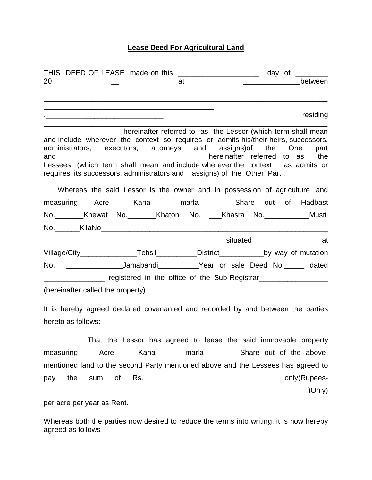## **Lease Deed For Agricultural Land**

|                    |                                                                                                                       | THIS DEED OF LEASE made on this _____________________ day of ________                                                                                                                                                                                                                               |                                                                                                                |
|--------------------|-----------------------------------------------------------------------------------------------------------------------|-----------------------------------------------------------------------------------------------------------------------------------------------------------------------------------------------------------------------------------------------------------------------------------------------------|----------------------------------------------------------------------------------------------------------------|
| 20                 |                                                                                                                       | at                                                                                                                                                                                                                                                                                                  | between                                                                                                        |
|                    |                                                                                                                       |                                                                                                                                                                                                                                                                                                     |                                                                                                                |
|                    | <u> 1989 - Johann Barbara, martin amerikan basar dan berasal dan berasal dalam basar dalam basar dalam basar dala</u> |                                                                                                                                                                                                                                                                                                     | residing                                                                                                       |
|                    |                                                                                                                       |                                                                                                                                                                                                                                                                                                     |                                                                                                                |
|                    |                                                                                                                       | hereinafter referred to as the Lessor (which term shall mean<br>and include wherever the context so requires or admits his/their heirs, successors,<br>administrators, executors, attorneys and assigns) of the One<br>Lessees (which term shall mean and include wherever the context as admits or | part                                                                                                           |
|                    |                                                                                                                       | requires its successors, administrators and assigns) of the Other Part.                                                                                                                                                                                                                             |                                                                                                                |
|                    |                                                                                                                       | Whereas the said Lessor is the owner and in possession of agriculture land                                                                                                                                                                                                                          |                                                                                                                |
|                    |                                                                                                                       | measuring Acre Kanal marla Share out of Hadbast                                                                                                                                                                                                                                                     |                                                                                                                |
|                    |                                                                                                                       |                                                                                                                                                                                                                                                                                                     |                                                                                                                |
|                    |                                                                                                                       | No.________Khewat No.________Khatoni No. ___Khasra No.____________Mustil                                                                                                                                                                                                                            |                                                                                                                |
|                    |                                                                                                                       |                                                                                                                                                                                                                                                                                                     |                                                                                                                |
|                    |                                                                                                                       |                                                                                                                                                                                                                                                                                                     | at at the set of the set of the set of the set of the set of the set of the set of the set of the set of the s |
|                    |                                                                                                                       | Village/City___________________Tehsil_____________District______________by way of mutation                                                                                                                                                                                                          |                                                                                                                |
|                    |                                                                                                                       | No. ___________________Jamabandi____________Year or sale Deed No. ______ dated                                                                                                                                                                                                                      |                                                                                                                |
|                    |                                                                                                                       | __________________ registered in the office of the Sub-Registrar________________                                                                                                                                                                                                                    |                                                                                                                |
|                    | (hereinafter called the property).                                                                                    |                                                                                                                                                                                                                                                                                                     |                                                                                                                |
|                    |                                                                                                                       | It is hereby agreed declared covenanted and recorded by and between the parties                                                                                                                                                                                                                     |                                                                                                                |
| hereto as follows: |                                                                                                                       |                                                                                                                                                                                                                                                                                                     |                                                                                                                |
|                    |                                                                                                                       | That the Lessor has agreed to lease the said immovable property                                                                                                                                                                                                                                     |                                                                                                                |
|                    |                                                                                                                       | measuring _____Acre_______Kanal_________marla___________Share out of the above-                                                                                                                                                                                                                     |                                                                                                                |
|                    |                                                                                                                       | mentioned land to the second Party mentioned above and the Lessees has agreed to                                                                                                                                                                                                                    |                                                                                                                |
| the<br>pay         | sum                                                                                                                   |                                                                                                                                                                                                                                                                                                     | only(Rupees-                                                                                                   |
|                    |                                                                                                                       |                                                                                                                                                                                                                                                                                                     |                                                                                                                |
|                    |                                                                                                                       |                                                                                                                                                                                                                                                                                                     |                                                                                                                |

per acre per year as Rent.

Whereas both the parties now desired to reduce the terms into writing, it is now hereby agreed as follows -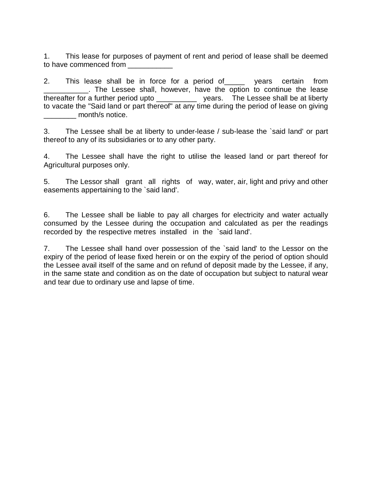1. This lease for purposes of payment of rent and period of lease shall be deemed to have commenced from

2. This lease shall be in force for a period of vears certain from \_\_\_\_\_\_\_\_\_\_\_. The Lessee shall, however, have the option to continue the lease thereafter for a further period upto \_\_\_\_\_\_\_\_\_\_ years. The Lessee shall be at liberty to vacate the "Said land or part thereof" at any time during the period of lease on giving month/s notice.

3. The Lessee shall be at liberty to under-lease / sub-lease the `said land' or part thereof to any of its subsidiaries or to any other party.

4. The Lessee shall have the right to utilise the leased land or part thereof for Agricultural purposes only.

5. The Lessor shall grant all rights of way, water, air, light and privy and other easements appertaining to the `said land'.

6. The Lessee shall be liable to pay all charges for electricity and water actually consumed by the Lessee during the occupation and calculated as per the readings recorded by the respective metres installed in the `said land'.

7. The Lessee shall hand over possession of the `said land' to the Lessor on the expiry of the period of lease fixed herein or on the expiry of the period of option should the Lessee avail itself of the same and on refund of deposit made by the Lessee, if any, in the same state and condition as on the date of occupation but subject to natural wear and tear due to ordinary use and lapse of time.